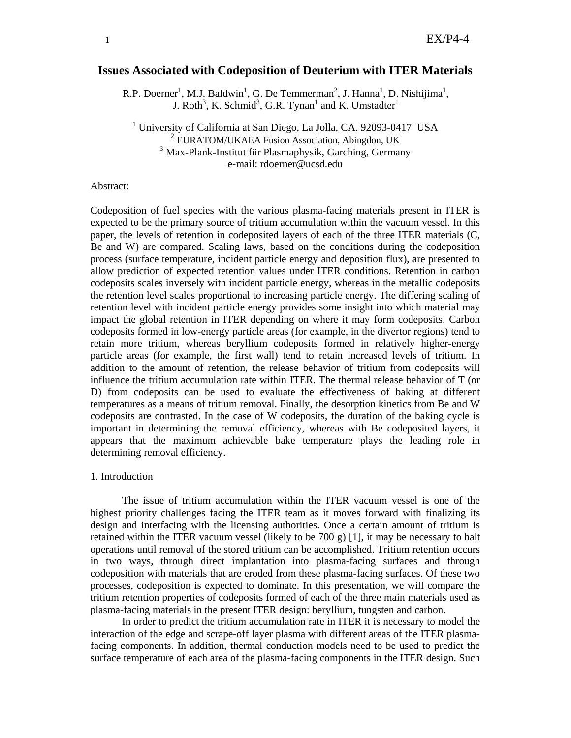# **Issues Associated with Codeposition of Deuterium with ITER Materials**

R.P. Doerner<sup>1</sup>, M.J. Baldwin<sup>1</sup>, G. De Temmerman<sup>2</sup>, J. Hanna<sup>1</sup>, D. Nishijima<sup>1</sup>, J. Roth<sup>3</sup>, K. Schmid<sup>3</sup>, G.R. Tynan<sup>1</sup> and K. Umstadter<sup>1</sup>

<sup>1</sup> University of California at San Diego, La Jolla, CA. 92093-0417 USA  $2 \text{ *EURATOM/UKAEA* Fusion Association, Abingdon, UK}$ 3 Max-Plank-Institut für Plasmaphysik, Garching, Germany e-mail: rdoerner@ucsd.edu

## Abstract:

Codeposition of fuel species with the various plasma-facing materials present in ITER is expected to be the primary source of tritium accumulation within the vacuum vessel. In this paper, the levels of retention in codeposited layers of each of the three ITER materials (C, Be and W) are compared. Scaling laws, based on the conditions during the codeposition process (surface temperature, incident particle energy and deposition flux), are presented to allow prediction of expected retention values under ITER conditions. Retention in carbon codeposits scales inversely with incident particle energy, whereas in the metallic codeposits the retention level scales proportional to increasing particle energy. The differing scaling of retention level with incident particle energy provides some insight into which material may impact the global retention in ITER depending on where it may form codeposits. Carbon codeposits formed in low-energy particle areas (for example, in the divertor regions) tend to retain more tritium, whereas beryllium codeposits formed in relatively higher-energy particle areas (for example, the first wall) tend to retain increased levels of tritium. In addition to the amount of retention, the release behavior of tritium from codeposits will influence the tritium accumulation rate within ITER. The thermal release behavior of T (or D) from codeposits can be used to evaluate the effectiveness of baking at different temperatures as a means of tritium removal. Finally, the desorption kinetics from Be and W codeposits are contrasted. In the case of W codeposits, the duration of the baking cycle is important in determining the removal efficiency, whereas with Be codeposited layers, it appears that the maximum achievable bake temperature plays the leading role in determining removal efficiency.

### 1. Introduction

The issue of tritium accumulation within the ITER vacuum vessel is one of the highest priority challenges facing the ITER team as it moves forward with finalizing its design and interfacing with the licensing authorities. Once a certain amount of tritium is retained within the ITER vacuum vessel (likely to be 700 g) [1], it may be necessary to halt operations until removal of the stored tritium can be accomplished. Tritium retention occurs in two ways, through direct implantation into plasma-facing surfaces and through codeposition with materials that are eroded from these plasma-facing surfaces. Of these two processes, codeposition is expected to dominate. In this presentation, we will compare the tritium retention properties of codeposits formed of each of the three main materials used as plasma-facing materials in the present ITER design: beryllium, tungsten and carbon.

In order to predict the tritium accumulation rate in ITER it is necessary to model the interaction of the edge and scrape-off layer plasma with different areas of the ITER plasmafacing components. In addition, thermal conduction models need to be used to predict the surface temperature of each area of the plasma-facing components in the ITER design. Such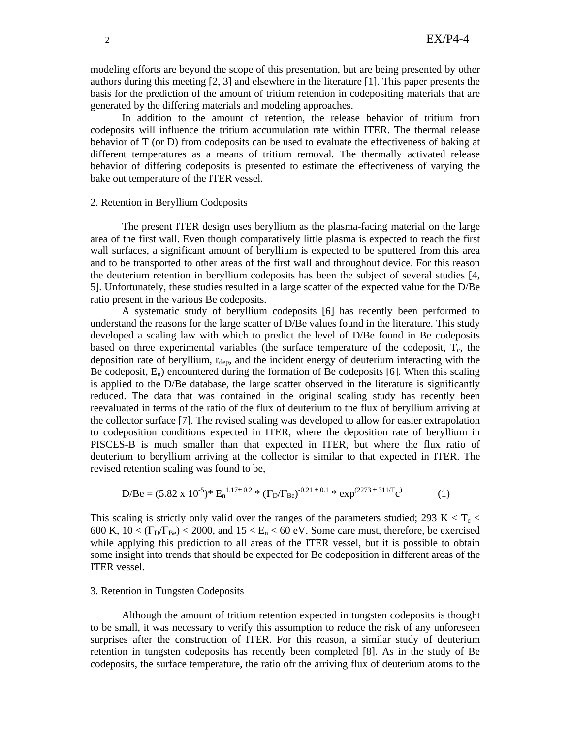modeling efforts are beyond the scope of this presentation, but are being presented by other authors during this meeting [2, 3] and elsewhere in the literature [1]. This paper presents the basis for the prediction of the amount of tritium retention in codepositing materials that are generated by the differing materials and modeling approaches.

In addition to the amount of retention, the release behavior of tritium from codeposits will influence the tritium accumulation rate within ITER. The thermal release behavior of T (or D) from codeposits can be used to evaluate the effectiveness of baking at different temperatures as a means of tritium removal. The thermally activated release behavior of differing codeposits is presented to estimate the effectiveness of varying the bake out temperature of the ITER vessel.

### 2. Retention in Beryllium Codeposits

 The present ITER design uses beryllium as the plasma-facing material on the large area of the first wall. Even though comparatively little plasma is expected to reach the first wall surfaces, a significant amount of beryllium is expected to be sputtered from this area and to be transported to other areas of the first wall and throughout device. For this reason the deuterium retention in beryllium codeposits has been the subject of several studies [4, 5]. Unfortunately, these studies resulted in a large scatter of the expected value for the D/Be ratio present in the various Be codeposits.

 A systematic study of beryllium codeposits [6] has recently been performed to understand the reasons for the large scatter of D/Be values found in the literature. This study developed a scaling law with which to predict the level of D/Be found in Be codeposits based on three experimental variables (the surface temperature of the codeposit,  $T_c$ , the deposition rate of beryllium,  $r_{\text{dep}}$ , and the incident energy of deuterium interacting with the Be codeposit,  $E_n$ ) encountered during the formation of Be codeposits [6]. When this scaling is applied to the D/Be database, the large scatter observed in the literature is significantly reduced. The data that was contained in the original scaling study has recently been reevaluated in terms of the ratio of the flux of deuterium to the flux of beryllium arriving at the collector surface [7]. The revised scaling was developed to allow for easier extrapolation to codeposition conditions expected in ITER, where the deposition rate of beryllium in PISCES-B is much smaller than that expected in ITER, but where the flux ratio of deuterium to beryllium arriving at the collector is similar to that expected in ITER. The revised retention scaling was found to be,

D/Be = 
$$
(5.82 \times 10^{-5})^* \text{ E}_n^{1.17 \pm 0.2} * (\Gamma_D/\Gamma_{Be})^{-0.21 \pm 0.1} * \exp^{(2273 \pm 311/\Gamma_C)}
$$
 (1)

This scaling is strictly only valid over the ranges of the parameters studied; 293 K  $\lt T_c \lt$ 600 K,  $10 < (\Gamma_D/\Gamma_{Be}) < 2000$ , and  $15 < E_n < 60$  eV. Some care must, therefore, be exercised while applying this prediction to all areas of the ITER vessel, but it is possible to obtain some insight into trends that should be expected for Be codeposition in different areas of the ITER vessel.

# 3. Retention in Tungsten Codeposits

 Although the amount of tritium retention expected in tungsten codeposits is thought to be small, it was necessary to verify this assumption to reduce the risk of any unforeseen surprises after the construction of ITER. For this reason, a similar study of deuterium retention in tungsten codeposits has recently been completed [8]. As in the study of Be codeposits, the surface temperature, the ratio ofr the arriving flux of deuterium atoms to the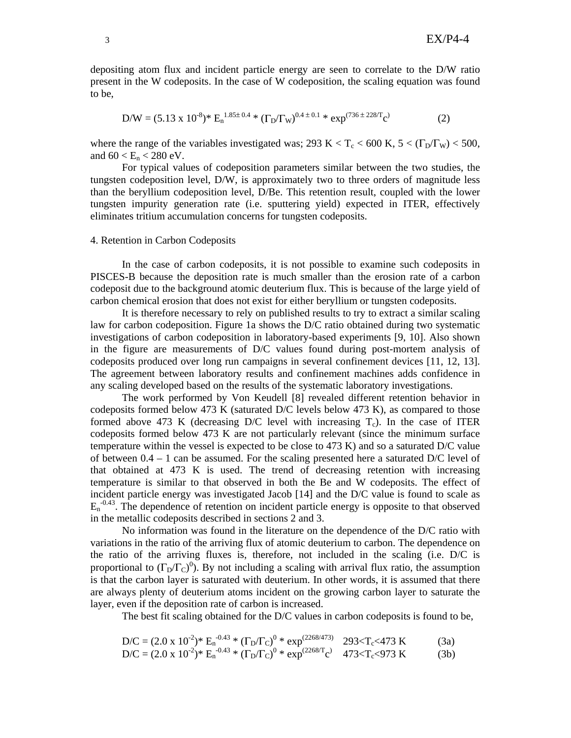depositing atom flux and incident particle energy are seen to correlate to the D/W ratio present in the W codeposits. In the case of W codeposition, the scaling equation was found to be,

$$
D/W = (5.13 \times 10^{-8})^* \text{ E}_n^{1.85 \pm 0.4} * (\Gamma_D/\Gamma_W)^{0.4 \pm 0.1} * \exp^{(736 \pm 228/\Gamma_C)} \tag{2}
$$

where the range of the variables investigated was; 293 K < T<sub>c</sub> < 600 K,  $5 < (\Gamma_D/\Gamma_W)$  < 500, and  $60 < E_n < 280$  eV.

 For typical values of codeposition parameters similar between the two studies, the tungsten codeposition level, D/W, is approximately two to three orders of magnitude less than the beryllium codeposition level, D/Be. This retention result, coupled with the lower tungsten impurity generation rate (i.e. sputtering yield) expected in ITER, effectively eliminates tritium accumulation concerns for tungsten codeposits.

#### 4. Retention in Carbon Codeposits

 In the case of carbon codeposits, it is not possible to examine such codeposits in PISCES-B because the deposition rate is much smaller than the erosion rate of a carbon codeposit due to the background atomic deuterium flux. This is because of the large yield of carbon chemical erosion that does not exist for either beryllium or tungsten codeposits.

 It is therefore necessary to rely on published results to try to extract a similar scaling law for carbon codeposition. Figure 1a shows the D/C ratio obtained during two systematic investigations of carbon codeposition in laboratory-based experiments [9, 10]. Also shown in the figure are measurements of D/C values found during post-mortem analysis of codeposits produced over long run campaigns in several confinement devices [11, 12, 13]. The agreement between laboratory results and confinement machines adds confidence in any scaling developed based on the results of the systematic laboratory investigations.

 The work performed by Von Keudell [8] revealed different retention behavior in codeposits formed below 473 K (saturated D/C levels below 473 K), as compared to those formed above 473 K (decreasing  $D/C$  level with increasing  $T_c$ ). In the case of ITER codeposits formed below 473 K are not particularly relevant (since the minimum surface temperature within the vessel is expected to be close to 473 K) and so a saturated D/C value of between  $0.4 - 1$  can be assumed. For the scaling presented here a saturated D/C level of that obtained at 473 K is used. The trend of decreasing retention with increasing temperature is similar to that observed in both the Be and W codeposits. The effect of incident particle energy was investigated Jacob [14] and the D/C value is found to scale as  $E_n$ <sup>-0.43</sup>. The dependence of retention on incident particle energy is opposite to that observed in the metallic codeposits described in sections 2 and 3.

 No information was found in the literature on the dependence of the D/C ratio with variations in the ratio of the arriving flux of atomic deuterium to carbon. The dependence on the ratio of the arriving fluxes is, therefore, not included in the scaling (i.e. D/C is proportional to  $(\Gamma_D/\Gamma_C)^0$ ). By not including a scaling with arrival flux ratio, the assumption is that the carbon layer is saturated with deuterium. In other words, it is assumed that there are always plenty of deuterium atoms incident on the growing carbon layer to saturate the layer, even if the deposition rate of carbon is increased.

The best fit scaling obtained for the D/C values in carbon codeposits is found to be,

D/C = 
$$
(2.0 \times 10^{-2})^* E_n^{-0.43} * (\Gamma_D/\Gamma_C)^0 * exp^{(2268/473)}
$$
 293 $\langle T_c \langle 473 \text{ K} \rangle$  (3a)  
D/C =  $(2.0 \times 10^{-2})^* E_n^{-0.43} * (\Gamma_D/\Gamma_C)^0 * exp^{(2268/T_C)}$  473 $\langle T_c \langle 973 \text{ K} \rangle$  (3b)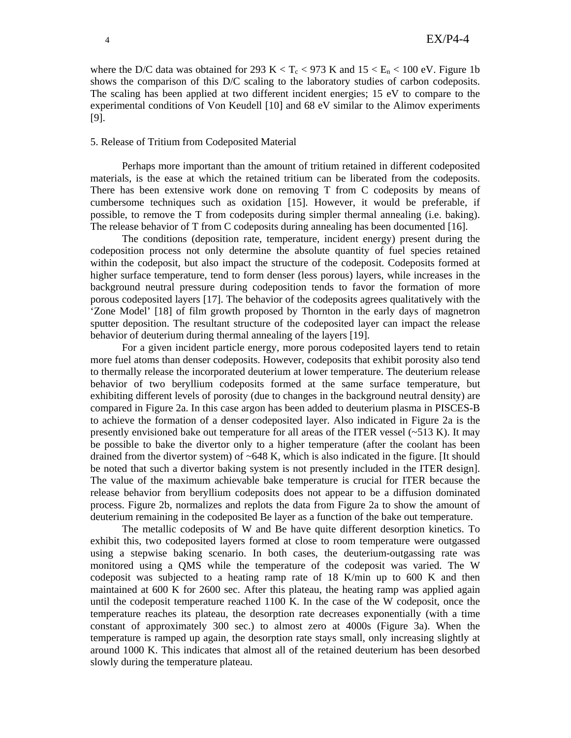where the D/C data was obtained for 293 K  $< T_c < 973$  K and  $15 < E_n < 100$  eV. Figure 1b shows the comparison of this D/C scaling to the laboratory studies of carbon codeposits. The scaling has been applied at two different incident energies; 15 eV to compare to the experimental conditions of Von Keudell [10] and 68 eV similar to the Alimov experiments [9].

### 5. Release of Tritium from Codeposited Material

 Perhaps more important than the amount of tritium retained in different codeposited materials, is the ease at which the retained tritium can be liberated from the codeposits. There has been extensive work done on removing T from C codeposits by means of cumbersome techniques such as oxidation [15]. However, it would be preferable, if possible, to remove the T from codeposits during simpler thermal annealing (i.e. baking). The release behavior of T from C codeposits during annealing has been documented [16].

The conditions (deposition rate, temperature, incident energy) present during the codeposition process not only determine the absolute quantity of fuel species retained within the codeposit, but also impact the structure of the codeposit. Codeposits formed at higher surface temperature, tend to form denser (less porous) layers, while increases in the background neutral pressure during codeposition tends to favor the formation of more porous codeposited layers [17]. The behavior of the codeposits agrees qualitatively with the 'Zone Model' [18] of film growth proposed by Thornton in the early days of magnetron sputter deposition. The resultant structure of the codeposited layer can impact the release behavior of deuterium during thermal annealing of the layers [19].

For a given incident particle energy, more porous codeposited layers tend to retain more fuel atoms than denser codeposits. However, codeposits that exhibit porosity also tend to thermally release the incorporated deuterium at lower temperature. The deuterium release behavior of two beryllium codeposits formed at the same surface temperature, but exhibiting different levels of porosity (due to changes in the background neutral density) are compared in Figure 2a. In this case argon has been added to deuterium plasma in PISCES-B to achieve the formation of a denser codeposited layer. Also indicated in Figure 2a is the presently envisioned bake out temperature for all areas of the ITER vessel  $(-513 \text{ K})$ . It may be possible to bake the divertor only to a higher temperature (after the coolant has been drained from the divertor system) of  $\sim 648$  K, which is also indicated in the figure. [It should be noted that such a divertor baking system is not presently included in the ITER design]. The value of the maximum achievable bake temperature is crucial for ITER because the release behavior from beryllium codeposits does not appear to be a diffusion dominated process. Figure 2b, normalizes and replots the data from Figure 2a to show the amount of deuterium remaining in the codeposited Be layer as a function of the bake out temperature.

 The metallic codeposits of W and Be have quite different desorption kinetics. To exhibit this, two codeposited layers formed at close to room temperature were outgassed using a stepwise baking scenario. In both cases, the deuterium-outgassing rate was monitored using a QMS while the temperature of the codeposit was varied. The W codeposit was subjected to a heating ramp rate of 18 K/min up to 600 K and then maintained at 600 K for 2600 sec. After this plateau, the heating ramp was applied again until the codeposit temperature reached 1100 K. In the case of the W codeposit, once the temperature reaches its plateau, the desorption rate decreases exponentially (with a time constant of approximately 300 sec.) to almost zero at 4000s (Figure 3a). When the temperature is ramped up again, the desorption rate stays small, only increasing slightly at around 1000 K. This indicates that almost all of the retained deuterium has been desorbed slowly during the temperature plateau.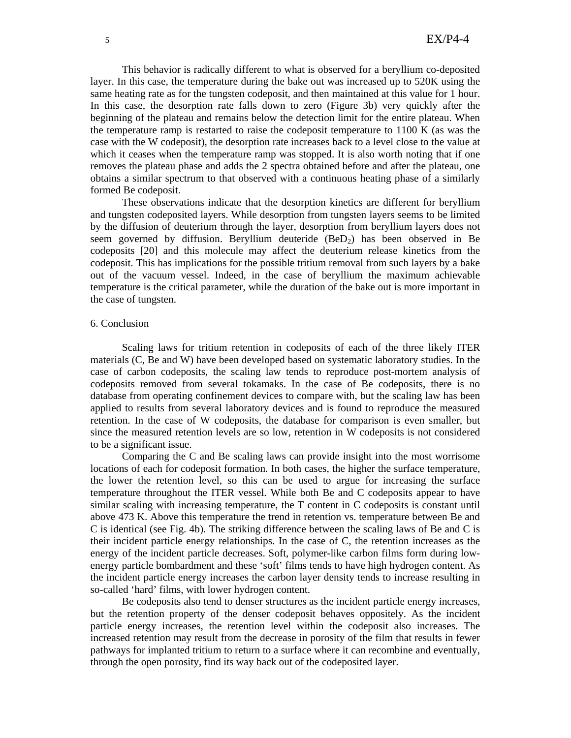This behavior is radically different to what is observed for a beryllium co-deposited layer. In this case, the temperature during the bake out was increased up to 520K using the same heating rate as for the tungsten codeposit, and then maintained at this value for 1 hour. In this case, the desorption rate falls down to zero (Figure 3b) very quickly after the beginning of the plateau and remains below the detection limit for the entire plateau. When the temperature ramp is restarted to raise the codeposit temperature to 1100 K (as was the case with the W codeposit), the desorption rate increases back to a level close to the value at which it ceases when the temperature ramp was stopped. It is also worth noting that if one removes the plateau phase and adds the 2 spectra obtained before and after the plateau, one obtains a similar spectrum to that observed with a continuous heating phase of a similarly formed Be codeposit.

These observations indicate that the desorption kinetics are different for beryllium and tungsten codeposited layers. While desorption from tungsten layers seems to be limited by the diffusion of deuterium through the layer, desorption from beryllium layers does not seem governed by diffusion. Beryllium deuteride  $(BeD_2)$  has been observed in Be codeposits [20] and this molecule may affect the deuterium release kinetics from the codeposit. This has implications for the possible tritium removal from such layers by a bake out of the vacuum vessel. Indeed, in the case of beryllium the maximum achievable temperature is the critical parameter, while the duration of the bake out is more important in the case of tungsten.

# 6. Conclusion

 Scaling laws for tritium retention in codeposits of each of the three likely ITER materials (C, Be and W) have been developed based on systematic laboratory studies. In the case of carbon codeposits, the scaling law tends to reproduce post-mortem analysis of codeposits removed from several tokamaks. In the case of Be codeposits, there is no database from operating confinement devices to compare with, but the scaling law has been applied to results from several laboratory devices and is found to reproduce the measured retention. In the case of W codeposits, the database for comparison is even smaller, but since the measured retention levels are so low, retention in W codeposits is not considered to be a significant issue.

 Comparing the C and Be scaling laws can provide insight into the most worrisome locations of each for codeposit formation. In both cases, the higher the surface temperature, the lower the retention level, so this can be used to argue for increasing the surface temperature throughout the ITER vessel. While both Be and C codeposits appear to have similar scaling with increasing temperature, the T content in C codeposits is constant until above 473 K. Above this temperature the trend in retention vs. temperature between Be and C is identical (see Fig. 4b). The striking difference between the scaling laws of Be and C is their incident particle energy relationships. In the case of C, the retention increases as the energy of the incident particle decreases. Soft, polymer-like carbon films form during lowenergy particle bombardment and these 'soft' films tends to have high hydrogen content. As the incident particle energy increases the carbon layer density tends to increase resulting in so-called 'hard' films, with lower hydrogen content.

Be codeposits also tend to denser structures as the incident particle energy increases, but the retention property of the denser codeposit behaves oppositely. As the incident particle energy increases, the retention level within the codeposit also increases. The increased retention may result from the decrease in porosity of the film that results in fewer pathways for implanted tritium to return to a surface where it can recombine and eventually, through the open porosity, find its way back out of the codeposited layer.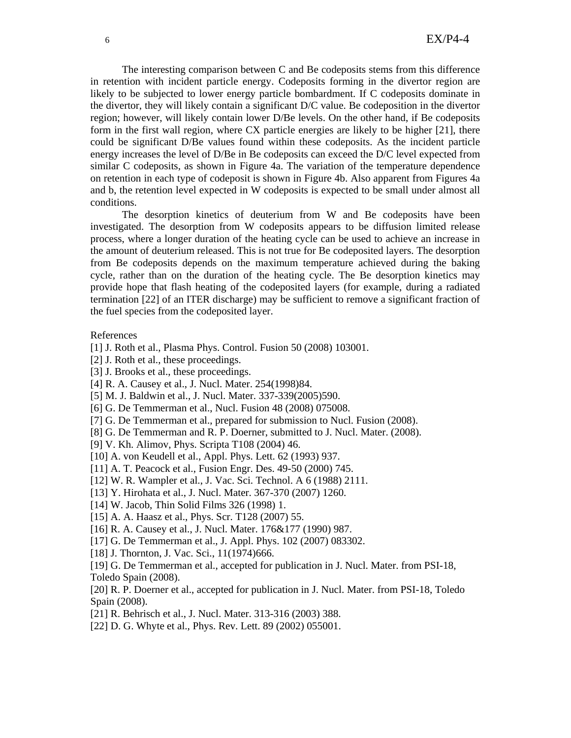The interesting comparison between C and Be codeposits stems from this difference in retention with incident particle energy. Codeposits forming in the divertor region are likely to be subjected to lower energy particle bombardment. If C codeposits dominate in the divertor, they will likely contain a significant D/C value. Be codeposition in the divertor region; however, will likely contain lower D/Be levels. On the other hand, if Be codeposits form in the first wall region, where CX particle energies are likely to be higher [21], there could be significant D/Be values found within these codeposits. As the incident particle energy increases the level of D/Be in Be codeposits can exceed the D/C level expected from similar C codeposits, as shown in Figure 4a. The variation of the temperature dependence on retention in each type of codeposit is shown in Figure 4b. Also apparent from Figures 4a and b, the retention level expected in W codeposits is expected to be small under almost all conditions.

The desorption kinetics of deuterium from W and Be codeposits have been investigated. The desorption from W codeposits appears to be diffusion limited release process, where a longer duration of the heating cycle can be used to achieve an increase in the amount of deuterium released. This is not true for Be codeposited layers. The desorption from Be codeposits depends on the maximum temperature achieved during the baking cycle, rather than on the duration of the heating cycle. The Be desorption kinetics may provide hope that flash heating of the codeposited layers (for example, during a radiated termination [22] of an ITER discharge) may be sufficient to remove a significant fraction of the fuel species from the codeposited layer.

### References

- [1] J. Roth et al., Plasma Phys. Control. Fusion 50 (2008) 103001.
- [2] J. Roth et al., these proceedings.
- [3] J. Brooks et al., these proceedings.
- [4] R. A. Causey et al., J. Nucl. Mater. 254(1998)84.
- [5] M. J. Baldwin et al., J. Nucl. Mater. 337-339(2005)590.
- [6] G. De Temmerman et al., Nucl. Fusion 48 (2008) 075008.
- [7] G. De Temmerman et al., prepared for submission to Nucl. Fusion (2008).
- [8] G. De Temmerman and R. P. Doerner, submitted to J. Nucl. Mater. (2008).
- [9] V. Kh. Alimov, Phys. Scripta T108 (2004) 46.
- [10] A. von Keudell et al., Appl. Phys. Lett. 62 (1993) 937.
- [11] A. T. Peacock et al., Fusion Engr. Des. 49-50 (2000) 745.
- [12] W. R. Wampler et al., J. Vac. Sci. Technol. A 6 (1988) 2111.
- [13] Y. Hirohata et al., J. Nucl. Mater. 367-370 (2007) 1260.
- [14] W. Jacob, Thin Solid Films 326 (1998) 1.
- [15] A. A. Haasz et al., Phys. Scr. T128 (2007) 55.
- [16] R. A. Causey et al., J. Nucl. Mater. 176&177 (1990) 987.
- [17] G. De Temmerman et al., J. Appl. Phys. 102 (2007) 083302.
- [18] J. Thornton, J. Vac. Sci., 11(1974)666.
- [19] G. De Temmerman et al., accepted for publication in J. Nucl. Mater. from PSI-18, Toledo Spain (2008).

[20] R. P. Doerner et al., accepted for publication in J. Nucl. Mater. from PSI-18, Toledo Spain (2008).

- [21] R. Behrisch et al., J. Nucl. Mater. 313-316 (2003) 388.
- [22] D. G. Whyte et al., Phys. Rev. Lett. 89 (2002) 055001.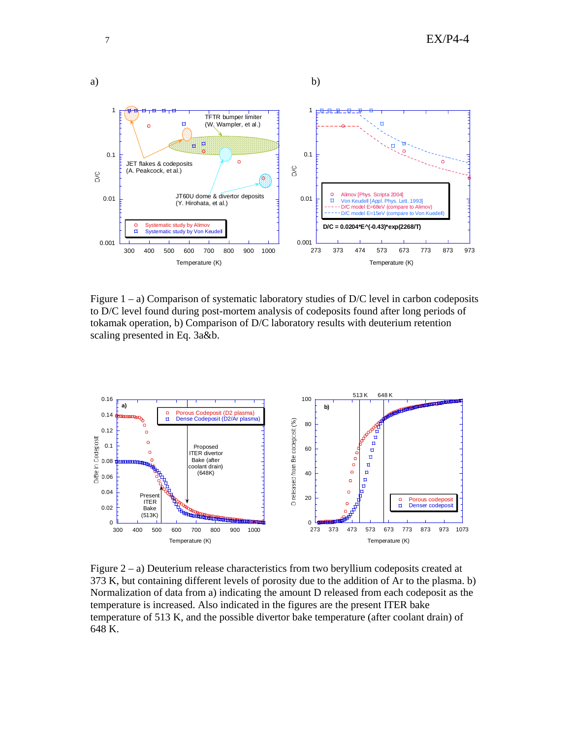

Figure  $1 - a$ ) Comparison of systematic laboratory studies of D/C level in carbon codeposits to D/C level found during post-mortem analysis of codeposits found after long periods of tokamak operation, b) Comparison of D/C laboratory results with deuterium retention scaling presented in Eq. 3a&b.



Figure  $2 - a$ ) Deuterium release characteristics from two beryllium codeposits created at 373 K, but containing different levels of porosity due to the addition of Ar to the plasma. b) Normalization of data from a) indicating the amount D released from each codeposit as the temperature is increased. Also indicated in the figures are the present ITER bake temperature of 513 K, and the possible divertor bake temperature (after coolant drain) of 648 K.